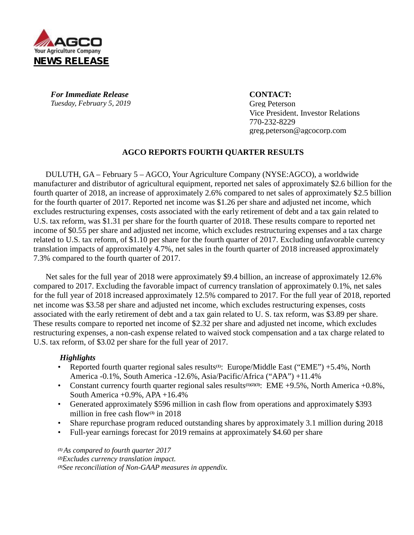

*For Immediate Release* **CONTACT:** *Tuesday, February 5, 2019* Greg Peterson

Vice President, Investor Relations 770-232-8229 greg.peterson@agcocorp.com

### **AGCO REPORTS FOURTH QUARTER RESULTS**

DULUTH, GA – February 5 – AGCO, Your Agriculture Company (NYSE:AGCO), a worldwide manufacturer and distributor of agricultural equipment, reported net sales of approximately \$2.6 billion for the fourth quarter of 2018, an increase of approximately 2.6% compared to net sales of approximately \$2.5 billion for the fourth quarter of 2017. Reported net income was \$1.26 per share and adjusted net income, which excludes restructuring expenses, costs associated with the early retirement of debt and a tax gain related to U.S. tax reform, was \$1.31 per share for the fourth quarter of 2018. These results compare to reported net income of \$0.55 per share and adjusted net income, which excludes restructuring expenses and a tax charge related to U.S. tax reform, of \$1.10 per share for the fourth quarter of 2017. Excluding unfavorable currency translation impacts of approximately 4.7%, net sales in the fourth quarter of 2018 increased approximately 7.3% compared to the fourth quarter of 2017.

Net sales for the full year of 2018 were approximately \$9.4 billion, an increase of approximately 12.6% compared to 2017. Excluding the favorable impact of currency translation of approximately 0.1%, net sales for the full year of 2018 increased approximately 12.5% compared to 2017. For the full year of 2018, reported net income was \$3.58 per share and adjusted net income, which excludes restructuring expenses, costs associated with the early retirement of debt and a tax gain related to U. S. tax reform, was \$3.89 per share. These results compare to reported net income of \$2.32 per share and adjusted net income, which excludes restructuring expenses, a non-cash expense related to waived stock compensation and a tax charge related to U.S. tax reform, of \$3.02 per share for the full year of 2017.

### *Highlights*

- Reported fourth quarter regional sales results**(1)**: Europe/Middle East ("EME") +5.4%, North America -0.1%, South America -12.6%, Asia/Pacific/Africa ("APA") +11.4%
- Constant currency fourth quarter regional sales results**(1)(2)(3)**: EME +9.5%, North America +0.8%, South America +0.9%, APA +16.4%
- Generated approximately \$596 million in cash flow from operations and approximately \$393 million in free cash flow**(3)** in 2018
- Share repurchase program reduced outstanding shares by approximately 3.1 million during 2018
- Full-year earnings forecast for 2019 remains at approximately \$4.60 per share

*(1)As compared to fourth quarter 2017 (2)Excludes currency translation impact. (3)See reconciliation of Non-GAAP measures in appendix.*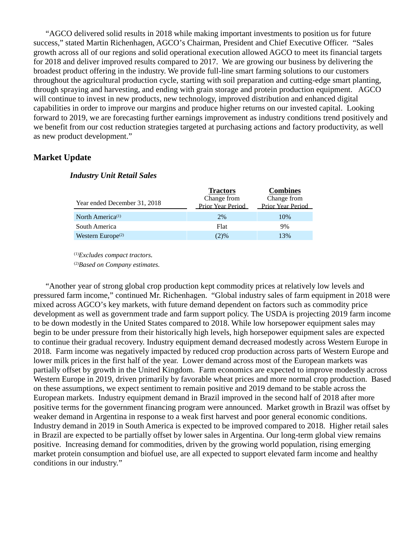"AGCO delivered solid results in 2018 while making important investments to position us for future success," stated Martin Richenhagen, AGCO's Chairman, President and Chief Executive Officer. "Sales growth across all of our regions and solid operational execution allowed AGCO to meet its financial targets for 2018 and deliver improved results compared to 2017. We are growing our business by delivering the broadest product offering in the industry. We provide full-line smart farming solutions to our customers throughout the agricultural production cycle, starting with soil preparation and cutting-edge smart planting, through spraying and harvesting, and ending with grain storage and protein production equipment. AGCO will continue to invest in new products, new technology, improved distribution and enhanced digital capabilities in order to improve our margins and produce higher returns on our invested capital. Looking forward to 2019, we are forecasting further earnings improvement as industry conditions trend positively and we benefit from our cost reduction strategies targeted at purchasing actions and factory productivity, as well as new product development."

## **Market Update**

| Year ended December 31, 2018  | <b>Tractors</b><br>Change from<br>Prior Year Period | <b>Combines</b><br>Change from<br>Prior Year Period |
|-------------------------------|-----------------------------------------------------|-----------------------------------------------------|
| North America $(1)$           | 2%                                                  | 10%                                                 |
| South America                 | <b>Flat</b>                                         | 9%                                                  |
| Western Europe <sup>(2)</sup> | (2)%                                                | 13%                                                 |

### *Industry Unit Retail Sales*

(1)*Excludes compact tractors.*

(2)*Based on Company estimates.*

"Another year of strong global crop production kept commodity prices at relatively low levels and pressured farm income," continued Mr. Richenhagen. "Global industry sales of farm equipment in 2018 were mixed across AGCO's key markets, with future demand dependent on factors such as commodity price development as well as government trade and farm support policy. The USDA is projecting 2019 farm income to be down modestly in the United States compared to 2018. While low horsepower equipment sales may begin to be under pressure from their historically high levels, high horsepower equipment sales are expected to continue their gradual recovery. Industry equipment demand decreased modestly across Western Europe in 2018. Farm income was negatively impacted by reduced crop production across parts of Western Europe and lower milk prices in the first half of the year. Lower demand across most of the European markets was partially offset by growth in the United Kingdom. Farm economics are expected to improve modestly across Western Europe in 2019, driven primarily by favorable wheat prices and more normal crop production. Based on these assumptions, we expect sentiment to remain positive and 2019 demand to be stable across the European markets. Industry equipment demand in Brazil improved in the second half of 2018 after more positive terms for the government financing program were announced. Market growth in Brazil was offset by weaker demand in Argentina in response to a weak first harvest and poor general economic conditions. Industry demand in 2019 in South America is expected to be improved compared to 2018. Higher retail sales in Brazil are expected to be partially offset by lower sales in Argentina. Our long-term global view remains positive. Increasing demand for commodities, driven by the growing world population, rising emerging market protein consumption and biofuel use, are all expected to support elevated farm income and healthy conditions in our industry."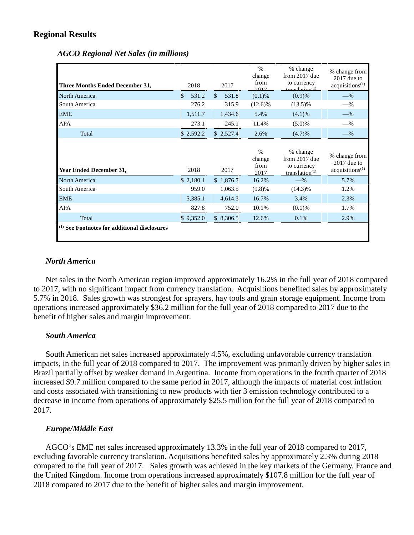## **Regional Results**

| Three Months Ended December 31,                | 2018                  | 2017                  | $\%$<br>change<br>from<br>2017 | % change<br>from 2017 due<br>to currency<br>translation <sup>(1)</sup>              | % change from<br>$2017$ due to<br>acquisitions <sup>(1)</sup> |
|------------------------------------------------|-----------------------|-----------------------|--------------------------------|-------------------------------------------------------------------------------------|---------------------------------------------------------------|
| North America                                  | 531.2<br>$\mathbb{S}$ | $\mathbb{S}$<br>531.8 | $(0.1)$ %                      | (0.9)%                                                                              | $-$ %                                                         |
| South America                                  | 276.2                 | 315.9                 | $(12.6)\%$                     | $(13.5)\%$                                                                          | $-$ %                                                         |
| <b>EME</b>                                     | 1,511.7               | 1,434.6               | 5.4%                           | (4.1)%                                                                              | $-$ %                                                         |
| <b>APA</b>                                     | 273.1                 | 245.1                 | 11.4%                          | (5.0)%                                                                              | $-$ %                                                         |
| Total                                          | \$2,592.2             | \$2,527.4             | 2.6%                           | (4.7)%                                                                              | $-$ %                                                         |
| <b>Year Ended December 31,</b>                 | 2018                  | 2017                  | $\%$<br>change<br>from<br>2017 | % change<br>from 2017 due<br>to currency<br>translation <sup><math>(1)</math></sup> | % change from<br>$2017$ due to<br>acquisitions <sup>(1)</sup> |
| North America                                  | \$2,180.1             | \$1,876.7             | 16.2%                          | $-$ %                                                                               | 5.7%                                                          |
| South America                                  | 959.0                 | 1,063.5               | $(9.8)\%$                      | $(14.3)\%$                                                                          | 1.2%                                                          |
| <b>EME</b>                                     | 5,385.1               | 4,614.3               | 16.7%                          | 3.4%                                                                                | 2.3%                                                          |
| <b>APA</b>                                     | 827.8                 | 752.0                 | 10.1%                          | $(0.1)$ %                                                                           | 1.7%                                                          |
| Total                                          | \$9,352.0             | \$8,306.5             | 12.6%                          | 0.1%                                                                                | 2.9%                                                          |
| $(1)$ See Footnotes for additional disclosures |                       |                       |                                |                                                                                     |                                                               |

### *AGCO Regional Net Sales (in millions)*

### *North America*

Net sales in the North American region improved approximately 16.2% in the full year of 2018 compared to 2017, with no significant impact from currency translation. Acquisitions benefited sales by approximately 5.7% in 2018. Sales growth was strongest for sprayers, hay tools and grain storage equipment. Income from operations increased approximately \$36.2 million for the full year of 2018 compared to 2017 due to the benefit of higher sales and margin improvement.

### *South America*

South American net sales increased approximately 4.5%, excluding unfavorable currency translation impacts, in the full year of 2018 compared to 2017. The improvement was primarily driven by higher sales in Brazil partially offset by weaker demand in Argentina. Income from operations in the fourth quarter of 2018 increased \$9.7 million compared to the same period in 2017, although the impacts of material cost inflation and costs associated with transitioning to new products with tier 3 emission technology contributed to a decrease in income from operations of approximately \$25.5 million for the full year of 2018 compared to 2017.

### *Europe/Middle East*

AGCO's EME net sales increased approximately 13.3% in the full year of 2018 compared to 2017, excluding favorable currency translation. Acquisitions benefited sales by approximately 2.3% during 2018 compared to the full year of 2017. Sales growth was achieved in the key markets of the Germany, France and the United Kingdom. Income from operations increased approximately \$107.8 million for the full year of 2018 compared to 2017 due to the benefit of higher sales and margin improvement.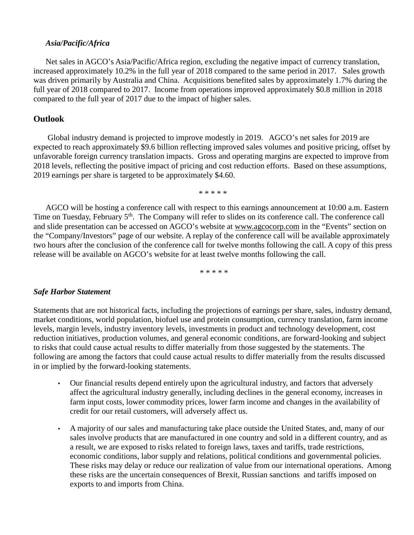#### *Asia/Pacific/Africa*

Net sales in AGCO's Asia/Pacific/Africa region, excluding the negative impact of currency translation, increased approximately 10.2% in the full year of 2018 compared to the same period in 2017. Sales growth was driven primarily by Australia and China. Acquisitions benefited sales by approximately 1.7% during the full year of 2018 compared to 2017. Income from operations improved approximately \$0.8 million in 2018 compared to the full year of 2017 due to the impact of higher sales.

### **Outlook**

Global industry demand is projected to improve modestly in 2019. AGCO's net sales for 2019 are expected to reach approximately \$9.6 billion reflecting improved sales volumes and positive pricing, offset by unfavorable foreign currency translation impacts. Gross and operating margins are expected to improve from 2018 levels, reflecting the positive impact of pricing and cost reduction efforts. Based on these assumptions, 2019 earnings per share is targeted to be approximately \$4.60.

\* \* \* \* \*

AGCO will be hosting a conference call with respect to this earnings announcement at 10:00 a.m. Eastern Time on Tuesday, February 5<sup>th</sup>. The Company will refer to slides on its conference call. The conference call and slide presentation can be accessed on AGCO's website at www.agcocorp.com in the"Events" section on the "Company/Investors" page of our website. A replay of the conference call will be available approximately two hours after the conclusion of the conference call for twelve months following the call. A copy of this press release will be available on AGCO's website for at least twelve months following the call.

\* \* \* \* \*

#### *Safe Harbor Statement*

Statements that are not historical facts, including the projections of earnings per share, sales, industry demand, market conditions, world population, biofuel use and protein consumption, currency translation, farm income levels, margin levels, industry inventory levels, investments in product and technology development, cost reduction initiatives, production volumes, and general economic conditions, are forward-looking and subject to risks that could cause actual results to differ materially from those suggested by the statements. The following are among the factors that could cause actual results to differ materially from the results discussed in or implied by the forward-looking statements.

- Our financial results depend entirely upon the agricultural industry, and factors that adversely affect the agricultural industry generally, including declines in the general economy, increases in farm input costs, lower commodity prices, lower farm income and changes in the availability of credit for our retail customers, will adversely affect us.
- A majority of our sales and manufacturing take place outside the United States, and, many of our sales involve products that are manufactured in one country and sold in a different country, and as a result, we are exposed to risks related to foreign laws, taxes and tariffs, trade restrictions, economic conditions, labor supply and relations, political conditions and governmental policies. These risks may delay or reduce our realization of value from our international operations. Among these risks are the uncertain consequences of Brexit, Russian sanctions and tariffs imposed on exports to and imports from China.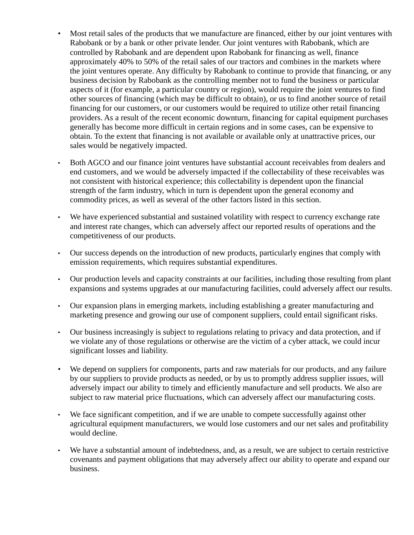- Most retail sales of the products that we manufacture are financed, either by our joint ventures with Rabobank or by a bank or other private lender. Our joint ventures with Rabobank, which are controlled by Rabobank and are dependent upon Rabobank for financing as well, finance approximately 40% to 50% of the retail sales of our tractors and combines in the markets where the joint ventures operate. Any difficulty by Rabobank to continue to provide that financing, or any business decision by Rabobank as the controlling member not to fund the business or particular aspects of it (for example, a particular country or region), would require the joint ventures to find other sources of financing (which may be difficult to obtain), or us to find another source of retail financing for our customers, or our customers would be required to utilize other retail financing providers. As a result of the recent economic downturn, financing for capital equipment purchases generally has become more difficult in certain regions and in some cases, can be expensive to obtain. To the extent that financing is not available or available only at unattractive prices, our sales would be negatively impacted.
- Both AGCO and our finance joint ventures have substantial account receivables from dealers and end customers, and we would be adversely impacted if the collectability of these receivables was not consistent with historical experience; this collectability is dependent upon the financial strength of the farm industry, which in turn is dependent upon the general economy and commodity prices, as well as several of the other factors listed in this section.
- We have experienced substantial and sustained volatility with respect to currency exchange rate and interest rate changes, which can adversely affect our reported results of operations and the competitiveness of our products.
- Our success depends on the introduction of new products, particularly engines that comply with emission requirements, which requires substantial expenditures.
- Our production levels and capacity constraints at our facilities, including those resulting from plant expansions and systems upgrades at our manufacturing facilities, could adversely affect our results.
- Our expansion plans in emerging markets, including establishing a greater manufacturing and marketing presence and growing our use of component suppliers, could entail significant risks.
- Our business increasingly is subject to regulations relating to privacy and data protection, and if we violate any of those regulations or otherwise are the victim of a cyber attack, we could incur significant losses and liability.
- We depend on suppliers for components, parts and raw materials for our products, and any failure by our suppliers to provide products as needed, or by us to promptly address supplier issues, will adversely impact our ability to timely and efficiently manufacture and sell products. We also are subject to raw material price fluctuations, which can adversely affect our manufacturing costs.
- We face significant competition, and if we are unable to compete successfully against other agricultural equipment manufacturers, we would lose customers and our net sales and profitability would decline.
- We have a substantial amount of indebtedness, and, as a result, we are subject to certain restrictive covenants and payment obligations that may adversely affect our ability to operate and expand our business.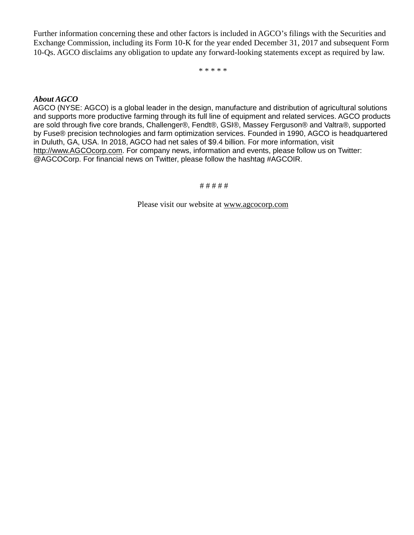Further information concerning these and other factors is included in AGCO's filings with the Securities and Exchange Commission, including its Form 10-K for the year ended December 31, 2017 and subsequent Form 10-Qs. AGCO disclaims any obligation to update any forward-looking statements except as required by law.

\* \* \* \* \*

### *About AGCO*

AGCO (NYSE: AGCO) is a global leader in the design, manufacture and distribution of agricultural solutions and supports more productive farming through its full line of equipment and related services. AGCO products are sold through five core brands, Challenger®, Fendt®, GSI®, Massey Ferguson® and Valtra®, supported by Fuse® precision technologies and farm optimization services. Founded in 1990, AGCO is headquartered in Duluth, GA, USA. In 2018, AGCO had net sales of \$9.4 billion. For more information, visit http://www.AGCOcorp.com. For company news, information and events, please follow us on Twitter: @AGCOCorp. For financial news on Twitter, please follow the hashtag #AGCOIR.

# # # # #

Please visit our website at www.agcocorp.com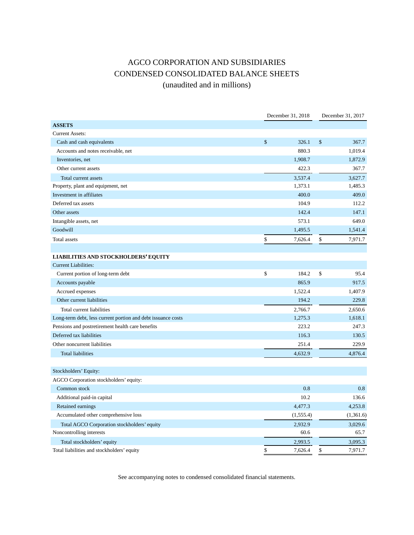# AGCO CORPORATION AND SUBSIDIARIES CONDENSED CONSOLIDATED BALANCE SHEETS (unaudited and in millions)

|                                                              | December 31, 2018 |            | December 31, 2017 |           |
|--------------------------------------------------------------|-------------------|------------|-------------------|-----------|
| <b>ASSETS</b>                                                |                   |            |                   |           |
| <b>Current Assets:</b>                                       |                   |            |                   |           |
| Cash and cash equivalents                                    | \$                | 326.1      | \$                | 367.7     |
| Accounts and notes receivable, net                           |                   | 880.3      |                   | 1,019.4   |
| Inventories, net                                             |                   | 1,908.7    |                   | 1,872.9   |
| Other current assets                                         |                   | 422.3      |                   | 367.7     |
| Total current assets                                         |                   | 3,537.4    |                   | 3,627.7   |
| Property, plant and equipment, net                           |                   | 1,373.1    |                   | 1,485.3   |
| Investment in affiliates                                     |                   | 400.0      |                   | 409.0     |
| Deferred tax assets                                          |                   | 104.9      |                   | 112.2     |
| Other assets                                                 |                   | 142.4      |                   | 147.1     |
| Intangible assets, net                                       |                   | 573.1      |                   | 649.0     |
| Goodwill                                                     |                   | 1,495.5    |                   | 1,541.4   |
| Total assets                                                 | \$                | 7,626.4    | \$                | 7,971.7   |
|                                                              |                   |            |                   |           |
| <b>LIABILITIES AND STOCKHOLDERS' EQUITY</b>                  |                   |            |                   |           |
| <b>Current Liabilities:</b>                                  |                   |            |                   |           |
| Current portion of long-term debt                            | \$                | 184.2      | \$                | 95.4      |
| Accounts payable                                             |                   | 865.9      |                   | 917.5     |
| Accrued expenses                                             |                   | 1,522.4    |                   | 1,407.9   |
| Other current liabilities                                    |                   | 194.2      |                   | 229.8     |
| Total current liabilities                                    |                   | 2,766.7    |                   | 2,650.6   |
| Long-term debt, less current portion and debt issuance costs |                   | 1,275.3    |                   | 1,618.1   |
| Pensions and postretirement health care benefits             |                   | 223.2      |                   | 247.3     |
| Deferred tax liabilities                                     |                   | 116.3      |                   | 130.5     |
| Other noncurrent liabilities                                 |                   | 251.4      |                   | 229.9     |
| <b>Total liabilities</b>                                     |                   | 4,632.9    |                   | 4,876.4   |
|                                                              |                   |            |                   |           |
| Stockholders' Equity:                                        |                   |            |                   |           |
| AGCO Corporation stockholders' equity:                       |                   |            |                   |           |
| Common stock                                                 |                   | 0.8        |                   | 0.8       |
| Additional paid-in capital                                   |                   | 10.2       |                   | 136.6     |
| Retained earnings                                            |                   | 4,477.3    |                   | 4,253.8   |
| Accumulated other comprehensive loss                         |                   | (1, 555.4) |                   | (1,361.6) |
| Total AGCO Corporation stockholders' equity                  |                   | 2,932.9    |                   | 3,029.6   |
| Noncontrolling interests                                     |                   | 60.6       |                   | 65.7      |
| Total stockholders' equity                                   |                   | 2,993.5    |                   | 3,095.3   |
| Total liabilities and stockholders' equity                   | \$                | 7,626.4    | \$                | 7,971.7   |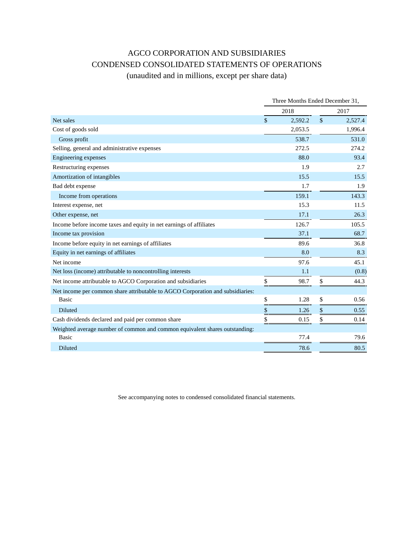# AGCO CORPORATION AND SUBSIDIARIES CONDENSED CONSOLIDATED STATEMENTS OF OPERATIONS

# (unaudited and in millions, except per share data)

|                                                                                | Three Months Ended December 31, |         |               |         |  |  |  |
|--------------------------------------------------------------------------------|---------------------------------|---------|---------------|---------|--|--|--|
|                                                                                |                                 | 2018    |               | 2017    |  |  |  |
| Net sales                                                                      | $\mathcal{S}$                   | 2,592.2 | $\mathcal{S}$ | 2,527.4 |  |  |  |
| Cost of goods sold                                                             |                                 | 2,053.5 |               | 1,996.4 |  |  |  |
| Gross profit                                                                   |                                 | 538.7   |               | 531.0   |  |  |  |
| Selling, general and administrative expenses                                   |                                 | 272.5   |               | 274.2   |  |  |  |
| Engineering expenses                                                           |                                 | 88.0    |               | 93.4    |  |  |  |
| Restructuring expenses                                                         |                                 | 1.9     |               | 2.7     |  |  |  |
| Amortization of intangibles                                                    |                                 | 15.5    |               | 15.5    |  |  |  |
| Bad debt expense                                                               |                                 | 1.7     |               | 1.9     |  |  |  |
| Income from operations                                                         |                                 | 159.1   |               | 143.3   |  |  |  |
| Interest expense, net                                                          |                                 | 15.3    |               | 11.5    |  |  |  |
| Other expense, net                                                             |                                 | 17.1    |               | 26.3    |  |  |  |
| Income before income taxes and equity in net earnings of affiliates            |                                 | 126.7   |               | 105.5   |  |  |  |
| Income tax provision                                                           |                                 | 37.1    |               | 68.7    |  |  |  |
| Income before equity in net earnings of affiliates                             |                                 | 89.6    |               | 36.8    |  |  |  |
| Equity in net earnings of affiliates                                           |                                 | 8.0     |               | 8.3     |  |  |  |
| Net income                                                                     |                                 | 97.6    |               | 45.1    |  |  |  |
| Net loss (income) attributable to noncontrolling interests                     |                                 | 1.1     |               | (0.8)   |  |  |  |
| Net income attributable to AGCO Corporation and subsidiaries                   | \$                              | 98.7    | \$            | 44.3    |  |  |  |
| Net income per common share attributable to AGCO Corporation and subsidiaries: |                                 |         |               |         |  |  |  |
| Basic                                                                          | \$                              | 1.28    | \$            | 0.56    |  |  |  |
| Diluted                                                                        | \$                              | 1.26    | \$            | 0.55    |  |  |  |
| Cash dividends declared and paid per common share                              | \$                              | 0.15    | \$            | 0.14    |  |  |  |
| Weighted average number of common and common equivalent shares outstanding:    |                                 |         |               |         |  |  |  |
| <b>Basic</b>                                                                   |                                 | 77.4    |               | 79.6    |  |  |  |
| Diluted                                                                        |                                 | 78.6    |               | 80.5    |  |  |  |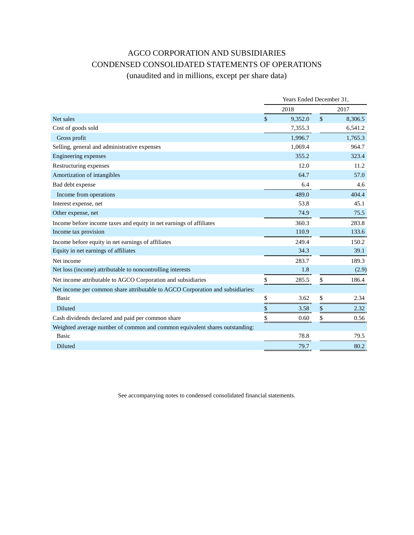# AGCO CORPORATION AND SUBSIDIARIES CONDENSED CONSOLIDATED STATEMENTS OF OPERATIONS

# (unaudited and in millions, except per share data)

|                                                                                |               | Years Ended December 31, |               |         |
|--------------------------------------------------------------------------------|---------------|--------------------------|---------------|---------|
|                                                                                |               | 2018                     |               | 2017    |
| Net sales                                                                      | $\mathcal{S}$ | 9,352.0                  | $\mathcal{S}$ | 8,306.5 |
| Cost of goods sold                                                             |               | 7,355.3                  |               | 6,541.2 |
| Gross profit                                                                   |               | 1,996.7                  |               | 1,765.3 |
| Selling, general and administrative expenses                                   |               | 1,069.4                  |               | 964.7   |
| Engineering expenses                                                           |               | 355.2                    |               | 323.4   |
| Restructuring expenses                                                         |               | 12.0                     |               | 11.2    |
| Amortization of intangibles                                                    |               | 64.7                     |               | 57.0    |
| Bad debt expense                                                               |               | 6.4                      |               | 4.6     |
| Income from operations                                                         |               | 489.0                    |               | 404.4   |
| Interest expense, net                                                          |               | 53.8                     |               | 45.1    |
| Other expense, net                                                             |               | 74.9                     |               | 75.5    |
| Income before income taxes and equity in net earnings of affiliates            |               | 360.3                    |               | 283.8   |
| Income tax provision                                                           |               | 110.9                    |               | 133.6   |
| Income before equity in net earnings of affiliates                             |               | 249.4                    |               | 150.2   |
| Equity in net earnings of affiliates                                           |               | 34.3                     |               | 39.1    |
| Net income                                                                     |               | 283.7                    |               | 189.3   |
| Net loss (income) attributable to noncontrolling interests                     |               | 1.8                      |               | (2.9)   |
| Net income attributable to AGCO Corporation and subsidiaries                   | \$            | 285.5                    | \$            | 186.4   |
| Net income per common share attributable to AGCO Corporation and subsidiaries: |               |                          |               |         |
| <b>Basic</b>                                                                   | \$            | 3.62                     | \$            | 2.34    |
| Diluted                                                                        | \$            | 3.58                     | \$            | 2.32    |
| Cash dividends declared and paid per common share                              | \$            | 0.60                     | \$            | 0.56    |
| Weighted average number of common and common equivalent shares outstanding:    |               |                          |               |         |
| <b>Basic</b>                                                                   |               | 78.8                     |               | 79.5    |
| Diluted                                                                        |               | 79.7                     |               | 80.2    |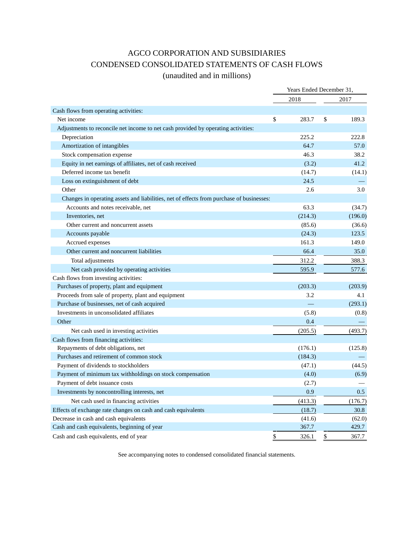# AGCO CORPORATION AND SUBSIDIARIES CONDENSED CONSOLIDATED STATEMENTS OF CASH FLOWS

# (unaudited and in millions)

|                                                                                          |                  |         | Years Ended December 31, |         |  |
|------------------------------------------------------------------------------------------|------------------|---------|--------------------------|---------|--|
|                                                                                          |                  | 2018    |                          | 2017    |  |
| Cash flows from operating activities:                                                    |                  |         |                          |         |  |
| Net income                                                                               | \$               | 283.7   | \$                       | 189.3   |  |
| Adjustments to reconcile net income to net cash provided by operating activities:        |                  |         |                          |         |  |
| Depreciation                                                                             |                  | 225.2   |                          | 222.8   |  |
| Amortization of intangibles                                                              |                  | 64.7    |                          | 57.0    |  |
| Stock compensation expense                                                               |                  | 46.3    |                          | 38.2    |  |
| Equity in net earnings of affiliates, net of cash received                               |                  | (3.2)   |                          | 41.2    |  |
| Deferred income tax benefit                                                              |                  | (14.7)  |                          | (14.1)  |  |
| Loss on extinguishment of debt                                                           |                  | 24.5    |                          |         |  |
| Other                                                                                    |                  | 2.6     |                          | 3.0     |  |
| Changes in operating assets and liabilities, net of effects from purchase of businesses: |                  |         |                          |         |  |
| Accounts and notes receivable, net                                                       |                  | 63.3    |                          | (34.7)  |  |
| Inventories, net                                                                         |                  | (214.3) |                          | (196.0) |  |
| Other current and noncurrent assets                                                      |                  | (85.6)  |                          | (36.6)  |  |
| Accounts payable                                                                         |                  | (24.3)  |                          | 123.5   |  |
| Accrued expenses                                                                         |                  | 161.3   |                          | 149.0   |  |
| Other current and noncurrent liabilities                                                 |                  | 66.4    |                          | 35.0    |  |
| Total adjustments                                                                        |                  | 312.2   |                          | 388.3   |  |
| Net cash provided by operating activities                                                |                  | 595.9   |                          | 577.6   |  |
| Cash flows from investing activities:                                                    |                  |         |                          |         |  |
| Purchases of property, plant and equipment                                               |                  | (203.3) |                          | (203.9) |  |
| Proceeds from sale of property, plant and equipment                                      |                  | 3.2     |                          | 4.1     |  |
| Purchase of businesses, net of cash acquired                                             |                  |         |                          | (293.1) |  |
| Investments in unconsolidated affiliates                                                 |                  | (5.8)   |                          | (0.8)   |  |
| Other                                                                                    |                  | 0.4     |                          |         |  |
| Net cash used in investing activities                                                    |                  | (205.5) |                          | (493.7) |  |
| Cash flows from financing activities:                                                    |                  |         |                          |         |  |
| Repayments of debt obligations, net                                                      |                  | (176.1) |                          | (125.8) |  |
| Purchases and retirement of common stock                                                 |                  | (184.3) |                          |         |  |
| Payment of dividends to stockholders                                                     |                  | (47.1)  |                          | (44.5)  |  |
| Payment of minimum tax withholdings on stock compensation                                |                  | (4.0)   |                          | (6.9)   |  |
| Payment of debt issuance costs                                                           |                  | (2.7)   |                          |         |  |
| Investments by noncontrolling interests, net                                             |                  | 0.9     |                          | 0.5     |  |
| Net cash used in financing activities                                                    |                  | (413.3) |                          | (176.7) |  |
| Effects of exchange rate changes on cash and cash equivalents                            |                  | (18.7)  |                          | 30.8    |  |
| Decrease in cash and cash equivalents                                                    |                  | (41.6)  |                          | (62.0)  |  |
| Cash and cash equivalents, beginning of year                                             |                  | 367.7   |                          | 429.7   |  |
| Cash and cash equivalents, end of year                                                   | $\underline{\$}$ | 326.1   | \$                       | 367.7   |  |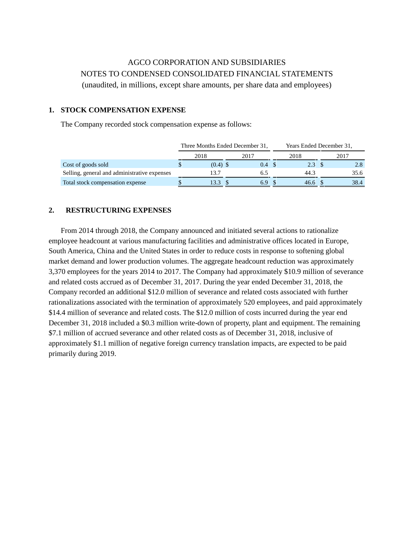# AGCO CORPORATION AND SUBSIDIARIES NOTES TO CONDENSED CONSOLIDATED FINANCIAL STATEMENTS (unaudited, in millions, except share amounts, per share data and employees)

### **1. STOCK COMPENSATION EXPENSE**

The Company recorded stock compensation expense as follows:

|                                              | Three Months Ended December 31, |               | Years Ended December 31, |  |      |
|----------------------------------------------|---------------------------------|---------------|--------------------------|--|------|
|                                              | 2018                            | 2017          | 2018                     |  | 2017 |
| Cost of goods sold                           | $(0.4)$ \$                      | $0.4^{\circ}$ | 2.3 <sup>5</sup>         |  | 2.8  |
| Selling, general and administrative expenses |                                 |               | 44.3                     |  | 35.6 |
| Total stock compensation expense             | 13.3                            | 6.9           | 46.6                     |  | 38.4 |

### **2. RESTRUCTURING EXPENSES**

From 2014 through 2018, the Company announced and initiated several actions to rationalize employee headcount at various manufacturing facilities and administrative offices located in Europe, South America, China and the United States in order to reduce costs in response to softening global market demand and lower production volumes. The aggregate headcount reduction was approximately 3,370 employees for the years 2014 to 2017. The Company had approximately \$10.9 million of severance and related costs accrued as of December 31, 2017. During the year ended December 31, 2018, the Company recorded an additional \$12.0 million of severance and related costs associated with further rationalizations associated with the termination of approximately 520 employees, and paid approximately \$14.4 million of severance and related costs. The \$12.0 million of costs incurred during the year end December 31, 2018 included a \$0.3 million write-down of property, plant and equipment. The remaining \$7.1 million of accrued severance and other related costs as of December 31, 2018, inclusive of approximately \$1.1 million of negative foreign currency translation impacts, are expected to be paid primarily during 2019.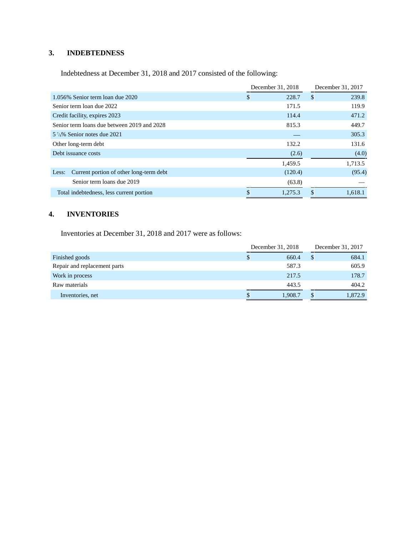## **3. INDEBTEDNESS**

Indebtedness at December 31, 2018 and 2017 consisted of the following:

|                                                  |   | December 31, 2018 |     | December 31, 2017 |
|--------------------------------------------------|---|-------------------|-----|-------------------|
| 1.056% Senior term loan due 2020                 | Ф | 228.7             | \$. | 239.8             |
| Senior term loan due 2022                        |   | 171.5             |     | 119.9             |
| Credit facility, expires 2023                    |   | 114.4             |     | 471.2             |
| Senior term loans due between 2019 and 2028      |   | 815.3             |     | 449.7             |
| $5\frac{7}{8}\%$ Senior notes due 2021           |   |                   |     | 305.3             |
| Other long-term debt                             |   | 132.2             |     | 131.6             |
| Debt issuance costs                              |   | (2.6)             |     | (4.0)             |
|                                                  |   | 1,459.5           |     | 1,713.5           |
| Current portion of other long-term debt<br>Less: |   | (120.4)           |     | (95.4)            |
| Senior term loans due 2019                       |   | (63.8)            |     |                   |
| Total indebtedness, less current portion         |   | 1.275.3           | \$  | 1.618.1           |

### **4. INVENTORIES**

Inventories at December 31, 2018 and 2017 were as follows:

|                              | December 31, 2018 | December 31, 2017 |         |  |
|------------------------------|-------------------|-------------------|---------|--|
| Finished goods               | \$<br>660.4       | \$                | 684.1   |  |
| Repair and replacement parts | 587.3             |                   | 605.9   |  |
| Work in process              | 217.5             |                   | 178.7   |  |
| Raw materials                | 443.5             |                   | 404.2   |  |
| Inventories, net             | 1.908.7           | \$                | 1,872.9 |  |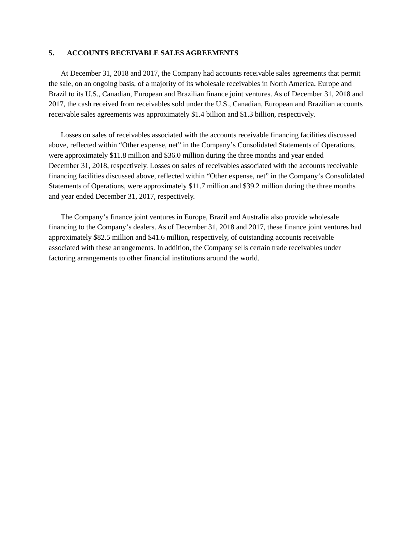#### **5. ACCOUNTS RECEIVABLE SALES AGREEMENTS**

At December 31, 2018 and 2017, the Company had accounts receivable sales agreements that permit the sale, on an ongoing basis, of a majority of its wholesale receivables in North America, Europe and Brazil to its U.S., Canadian, European and Brazilian finance joint ventures. As of December 31, 2018 and 2017, the cash received from receivables sold under the U.S., Canadian, European and Brazilian accounts receivable sales agreements was approximately \$1.4 billion and \$1.3 billion, respectively.

Losses on sales of receivables associated with the accounts receivable financing facilities discussed above, reflected within "Other expense, net" in the Company's Consolidated Statements of Operations, were approximately \$11.8 million and \$36.0 million during the three months and year ended December 31, 2018, respectively. Losses on sales of receivables associated with the accounts receivable financing facilities discussed above, reflected within "Other expense, net" in the Company's Consolidated Statements of Operations, were approximately \$11.7 million and \$39.2 million during the three months and year ended December 31, 2017, respectively.

The Company's finance joint ventures in Europe, Brazil and Australia also provide wholesale financing to the Company's dealers. As of December 31, 2018 and 2017, these finance joint ventures had approximately \$82.5 million and \$41.6 million, respectively, of outstanding accounts receivable associated with these arrangements. In addition, the Company sells certain trade receivables under factoring arrangements to other financial institutions around the world.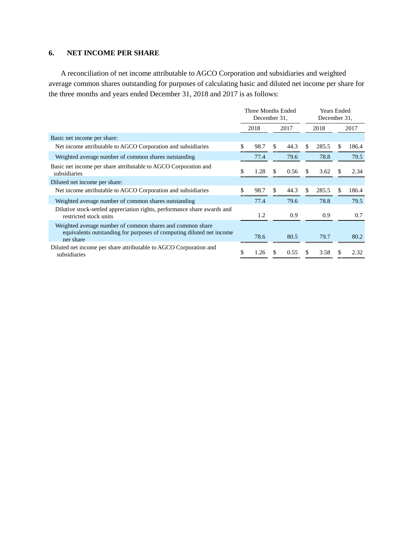### **6. NET INCOME PER SHARE**

A reconciliation of net income attributable to AGCO Corporation and subsidiaries and weighted average common shares outstanding for purposes of calculating basic and diluted net income per share for the three months and years ended December 31, 2018 and 2017 is as follows:

|                                                                                                                                                |    | Three Months Ended<br>December 31. |               |      |    |       |     | <b>Years Ended</b><br>December 31, |  |
|------------------------------------------------------------------------------------------------------------------------------------------------|----|------------------------------------|---------------|------|----|-------|-----|------------------------------------|--|
|                                                                                                                                                |    | 2017<br>2018                       |               | 2018 |    | 2017  |     |                                    |  |
| Basic net income per share:                                                                                                                    |    |                                    |               |      |    |       |     |                                    |  |
| Net income attributable to AGCO Corporation and subsidiaries                                                                                   |    | 98.7                               | \$            | 44.3 | \$ | 285.5 | \$. | 186.4                              |  |
| Weighted average number of common shares outstanding                                                                                           |    | 77.4                               |               | 79.6 |    | 78.8  |     | 79.5                               |  |
| Basic net income per share attributable to AGCO Corporation and<br>subsidiaries                                                                | \$ | 1.28                               | <sup>\$</sup> | 0.56 | S. | 3.62  | -S  | 2.34                               |  |
| Diluted net income per share:                                                                                                                  |    |                                    |               |      |    |       |     |                                    |  |
| Net income attributable to AGCO Corporation and subsidiaries                                                                                   |    | 98.7                               | \$            | 44.3 | \$ | 285.5 | \$  | 186.4                              |  |
| Weighted average number of common shares outstanding                                                                                           |    | 77.4                               |               | 79.6 |    | 78.8  |     | 79.5                               |  |
| Dilutive stock-settled appreciation rights, performance share awards and<br>restricted stock units                                             |    | 1.2                                |               | 0.9  |    | 0.9   |     | 0.7                                |  |
| Weighted average number of common shares and common share<br>equivalents outstanding for purposes of computing diluted net income<br>per share |    | 78.6                               |               | 80.5 |    | 79.7  |     | 80.2                               |  |
| Diluted net income per share attributable to AGCO Corporation and<br>subsidiaries                                                              | S  | 1.26                               | S             | 0.55 | S  | 3.58  |     | 2.32                               |  |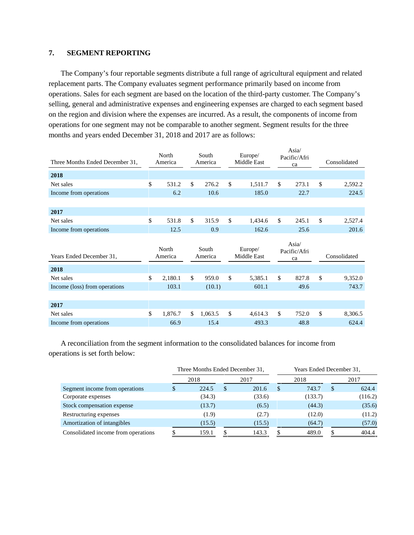### **7. SEGMENT REPORTING**

The Company's four reportable segments distribute a full range of agricultural equipment and related replacement parts. The Company evaluates segment performance primarily based on income from operations. Sales for each segment are based on the location of the third-party customer. The Company's selling, general and administrative expenses and engineering expenses are charged to each segment based on the region and division where the expenses are incurred. As a result, the components of income from operations for one segment may not be comparable to another segment. Segment results for the three months and years ended December 31, 2018 and 2017 are as follows:

| Three Months Ended December 31, | North<br>America |                  | South<br>Europe/<br>Middle East<br>America |                  |      | Asia/<br>Pacific/Afri<br>ca |                             | Consolidated |               |
|---------------------------------|------------------|------------------|--------------------------------------------|------------------|------|-----------------------------|-----------------------------|--------------|---------------|
| 2018                            |                  |                  |                                            |                  |      |                             |                             |              |               |
| Net sales                       | \$               | 531.2            | \$                                         | 276.2            | \$   | 1,511.7                     | \$                          | 273.1        | \$<br>2,592.2 |
| Income from operations          |                  | 6.2              |                                            | 10.6             |      | 185.0                       |                             | 22.7         | 224.5         |
|                                 |                  |                  |                                            |                  |      |                             |                             |              |               |
| 2017                            |                  |                  |                                            |                  |      |                             |                             |              |               |
| Net sales                       | \$               | 531.8            | \$                                         | 315.9            | \$   | 1,434.6                     | \$                          | 245.1        | \$<br>2,527.4 |
| Income from operations          |                  | 12.5             |                                            | 0.9              |      | 162.6                       |                             | 25.6         | 201.6         |
|                                 |                  |                  |                                            |                  |      |                             | Asia/<br>Pacific/Afri<br>ca |              |               |
| Years Ended December 31,        |                  | North<br>America |                                            | South<br>America |      | Europe/<br>Middle East      |                             |              | Consolidated  |
| 2018                            |                  |                  |                                            |                  |      |                             |                             |              |               |
| Net sales                       | \$               | 2,180.1          | \$                                         | 959.0            | \$   | 5,385.1                     | $\mathbb{S}$                | 827.8        | \$<br>9,352.0 |
| Income (loss) from operations   |                  | 103.1            |                                            | (10.1)           |      | 601.1                       |                             | 49.6         | 743.7         |
|                                 |                  |                  |                                            |                  |      |                             |                             |              |               |
| 2017                            |                  |                  |                                            |                  |      |                             |                             |              |               |
| Net sales                       | \$               | 1,876.7          | \$                                         | 1,063.5          | $\$$ | 4,614.3                     | \$                          | 752.0        | \$<br>8,306.5 |

A reconciliation from the segment information to the consolidated balances for income from operations is set forth below:

|                                     | Three Months Ended December 31, |  |        | Years Ended December 31, |         |      |         |  |
|-------------------------------------|---------------------------------|--|--------|--------------------------|---------|------|---------|--|
|                                     | 2018                            |  | 2017   |                          | 2018    | 2017 |         |  |
| Segment income from operations      | 224.5                           |  | 201.6  | <sup>\$</sup>            | 743.7   | S    | 624.4   |  |
| Corporate expenses                  | (34.3)                          |  | (33.6) |                          | (133.7) |      | (116.2) |  |
| Stock compensation expense          | (13.7)                          |  | (6.5)  |                          | (44.3)  |      | (35.6)  |  |
| Restructuring expenses              | (1.9)                           |  | (2.7)  |                          | (12.0)  |      | (11.2)  |  |
| Amortization of intangibles         | (15.5)                          |  | (15.5) |                          | (64.7)  |      | (57.0)  |  |
| Consolidated income from operations | 159.1                           |  | 143.3  |                          | 489.0   |      | 404.4   |  |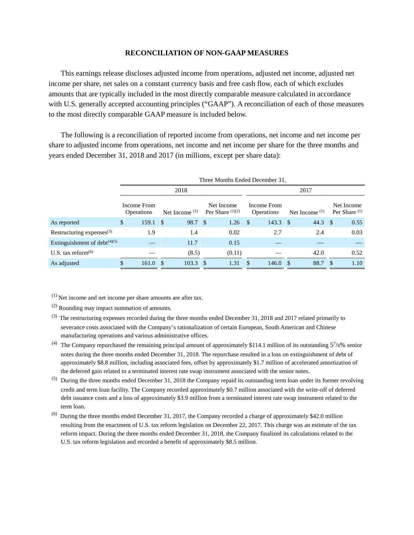#### **RECONCILIATION OF NON-GAAP MEASURES**

This earnings release discloses adjusted income from operations, adjusted net income, adjusted net income per share, net sales on a constant currency basis and free cash flow, each of which excludes amounts that are typically included in the most directly comparable measure calculated in accordance with U.S. generally accepted accounting principles ("GAAP"). A reconciliation of each of those measures to the most directly comparable GAAP measure is included below.

The following is a reconciliation of reported income from operations, net income and net income per share to adjusted income from operations, net income and net income per share for the three months and years ended December 31, 2018 and 2017 (in millions, except per share data):

|                                 |                                  | Three Months Ended December 31, |                  |                 |                                  |              |                                  |       |      |                  |  |                               |  |  |  |
|---------------------------------|----------------------------------|---------------------------------|------------------|-----------------|----------------------------------|--------------|----------------------------------|-------|------|------------------|--|-------------------------------|--|--|--|
|                                 |                                  |                                 |                  | 2018            |                                  | 2017         |                                  |       |      |                  |  |                               |  |  |  |
|                                 | Income From<br><b>Operations</b> |                                 | Net Income $(1)$ |                 | Net Income<br>Per Share $(1)(2)$ |              | Income From<br><b>Operations</b> |       |      | Net Income $(1)$ |  | Net Income<br>Per Share $(1)$ |  |  |  |
| As reported                     | \$                               | 159.1                           | $\mathbf{s}$     | 98.7 \$         |                                  | $1.26 \quad$ |                                  | 143.3 | - \$ | $44.3 \quad $$   |  | 0.55                          |  |  |  |
| Restructuring expenses $(3)$    |                                  | 1.9                             |                  | 1.4             |                                  | 0.02         |                                  | 2.7   |      | 2.4              |  | 0.03                          |  |  |  |
| Extinguishment of debt $(4)(5)$ |                                  |                                 |                  | 11.7            |                                  | 0.15         |                                  |       |      |                  |  |                               |  |  |  |
| U.S. tax reform $^{(6)}$        |                                  |                                 |                  | (8.5)           |                                  | (0.11)       |                                  |       |      | 42.0             |  | 0.52                          |  |  |  |
| As adjusted                     |                                  | 161.0                           | -S               | $103.3 \quad $$ |                                  | 1.31         |                                  | 146.0 | - \$ | 88.7 \$          |  | 1.10                          |  |  |  |

 $(1)$  Net income and net income per share amounts are after tax.

 $(2)$  Rounding may impact summation of amounts.

- $<sup>(3)</sup>$  The restructuring expenses recorded during the three months ended December 31, 2018 and 2017 related primarily to</sup> severance costs associated with the Company's rationalization of certain European, South American and Chinese manufacturing operations and various administrative offices.
- <sup>(4)</sup> The Company repurchased the remaining principal amount of approximately \$114.1 million of its outstanding  $5^{7}/8\%$  senior notes during the three months ended December 31, 2018. The repurchase resulted in a loss on extinguishment of debt of approximately \$8.8 million, including associated fees, offset by approximately \$1.7 million of accelerated amortization of the deferred gain related to a terminated interest rate swap instrument associated with the senior notes.
- $<sup>(5)</sup>$  During the three months ended December 31, 2018 the Company repaid its outstanding term loan under its former revolving</sup> credit and term loan facility. The Company recorded approximately \$0.7 million associated with the write-off of deferred debt issuance costs and a loss of approximately \$3.9 million from a terminated interest rate swap instrument related to the term loan.
- (6) During the three months ended December 31, 2017, the Company recorded a charge of approximately \$42.0 million resulting from the enactment of U.S. tax reform legislation on December 22, 2017. This charge was an estimate of the tax reform impact. During the three months ended December 31, 2018, the Company finalized its calculations related to the U.S. tax reform legislation and recorded a benefit of approximately \$8.5 million.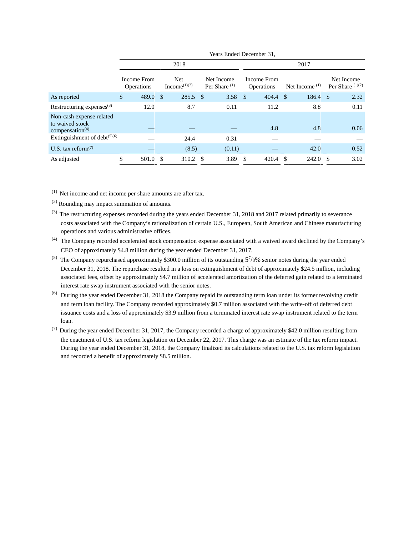|                                                                                         | rears ended December 51, |                           |                           |       |                               |                                  |       |                           |                                  |      |  |  |  |  |
|-----------------------------------------------------------------------------------------|--------------------------|---------------------------|---------------------------|-------|-------------------------------|----------------------------------|-------|---------------------------|----------------------------------|------|--|--|--|--|
|                                                                                         |                          |                           | 2018                      |       |                               |                                  | 2017  |                           |                                  |      |  |  |  |  |
|                                                                                         |                          | Income From<br>Operations | Net<br>Income $(1)(2)$    |       | Net Income<br>Per Share $(1)$ | Income From<br><b>Operations</b> |       | Net Income $(1)$          | Net Income<br>Per Share $(1)(2)$ |      |  |  |  |  |
| As reported                                                                             | \$.                      | 489.0                     | 285.5 \$<br><sup>\$</sup> |       | 3.58                          | $\mathcal{S}$                    | 404.4 | 186.4 \$<br><sup>\$</sup> |                                  | 2.32 |  |  |  |  |
| Restructuring expenses $(3)$                                                            |                          | 12.0                      |                           | 8.7   | 0.11                          |                                  | 11.2  | 8.8                       |                                  | 0.11 |  |  |  |  |
| Non-cash expense related<br>to waived stock<br>compensation <sup><math>(4)</math></sup> |                          |                           |                           |       |                               |                                  | 4.8   | 4.8                       |                                  | 0.06 |  |  |  |  |
| Extinguishment of debt $(5)(6)$                                                         |                          |                           | 24.4                      |       | 0.31                          |                                  |       |                           |                                  |      |  |  |  |  |
| U.S. tax reform $(7)$                                                                   |                          |                           |                           | (8.5) | (0.11)                        |                                  |       | 42.0                      |                                  | 0.52 |  |  |  |  |
| As adjusted                                                                             | \$                       | 501.0                     | 310.2 \$<br>- \$          |       | 3.89                          | - \$                             | 420.4 | $242.0$ \$<br>-\$         |                                  | 3.02 |  |  |  |  |
|                                                                                         |                          |                           |                           |       |                               |                                  |       |                           |                                  |      |  |  |  |  |

 $V_{\text{max}}$  Eq. 3 and December 21,

 $(1)$  Net income and net income per share amounts are after tax.

(2) Rounding may impact summation of amounts.

- (3) The restructuring expenses recorded during the years ended December 31, 2018 and 2017 related primarily to severance costs associated with the Company's rationalization of certain U.S., European, South American and Chinese manufacturing operations and various administrative offices.
- $(4)$  The Company recorded accelerated stock compensation expense associated with a waived award declined by the Company's CEO of approximately \$4.8 million during the year ended December 31, 2017.
- <sup>(5)</sup> The Company repurchased approximately \$300.0 million of its outstanding  $5^{7}/8\%$  senior notes during the year ended December 31, 2018. The repurchase resulted in a loss on extinguishment of debt of approximately \$24.5 million, including associated fees, offset by approximately \$4.7 million of accelerated amortization of the deferred gain related to a terminated interest rate swap instrument associated with the senior notes.
- (6) During the year ended December 31, 2018 the Company repaid its outstanding term loan under its former revolving credit and term loan facility. The Company recorded approximately \$0.7 million associated with the write-off of deferred debt issuance costs and a loss of approximately \$3.9 million from a terminated interest rate swap instrument related to the term loan.
- $(7)$  During the year ended December 31, 2017, the Company recorded a charge of approximately \$42.0 million resulting from the enactment of U.S. tax reform legislation on December 22, 2017. This charge was an estimate of the tax reform impact. During the year ended December 31, 2018, the Company finalized its calculations related to the U.S. tax reform legislation and recorded a benefit of approximately \$8.5 million.